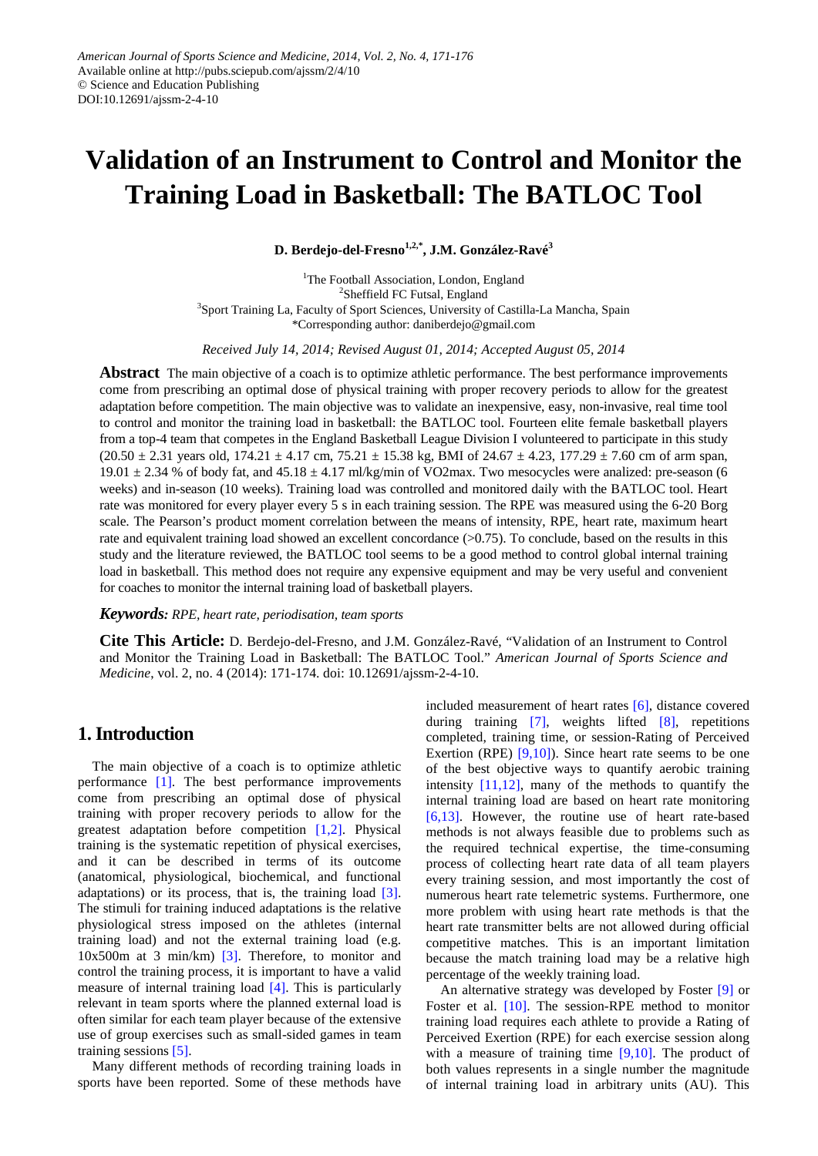# **Validation of an Instrument to Control and Monitor the Training Load in Basketball: The BATLOC Tool**

**D. Berdejo-del-Fresno1,2,\*, J.M. González-Ravé<sup>3</sup>**

<sup>1</sup>The Football Association, London, England <sup>2</sup>Sheffield FC Futsal, England <sup>3</sup>Sport Training La, Faculty of Sport Sciences, University of Castilla-La Mancha, Spain \*Corresponding author: daniberdejo@gmail.com

*Received July 14, 2014; Revised August 01, 2014; Accepted August 05, 2014*

**Abstract** The main objective of a coach is to optimize athletic performance. The best performance improvements come from prescribing an optimal dose of physical training with proper recovery periods to allow for the greatest adaptation before competition. The main objective was to validate an inexpensive, easy, non-invasive, real time tool to control and monitor the training load in basketball: the BATLOC tool. Fourteen elite female basketball players from a top-4 team that competes in the England Basketball League Division I volunteered to participate in this study  $(20.50 \pm 2.31 \text{ years old}, 174.21 \pm 4.17 \text{ cm}, 75.21 \pm 15.38 \text{ kg}, \text{BMI of } 24.67 \pm 4.23, 177.29 \pm 7.60 \text{ cm of arm span},$ 19.01  $\pm$  2.34 % of body fat, and 45.18  $\pm$  4.17 ml/kg/min of VO2max. Two mesocycles were analized: pre-season (6 weeks) and in-season (10 weeks). Training load was controlled and monitored daily with the BATLOC tool. Heart rate was monitored for every player every 5 s in each training session. The RPE was measured using the 6-20 Borg scale. The Pearson's product moment correlation between the means of intensity, RPE, heart rate, maximum heart rate and equivalent training load showed an excellent concordance (>0.75). To conclude, based on the results in this study and the literature reviewed, the BATLOC tool seems to be a good method to control global internal training load in basketball. This method does not require any expensive equipment and may be very useful and convenient for coaches to monitor the internal training load of basketball players.

#### *Keywords: RPE, heart rate, periodisation, team sports*

**Cite This Article:** D. Berdejo-del-Fresno, and J.M. González-Ravé, "Validation of an Instrument to Control and Monitor the Training Load in Basketball: The BATLOC Tool." *American Journal of Sports Science and Medicine*, vol. 2, no. 4 (2014): 171-174. doi: 10.12691/ajssm-2-4-10.

# **1. Introduction**

The main objective of a coach is to optimize athletic performance [\[1\].](#page-4-0) The best performance improvements come from prescribing an optimal dose of physical training with proper recovery periods to allow for the greatest adaptation before competition [\[1,2\].](#page-4-0) Physical training is the systematic repetition of physical exercises, and it can be described in terms of its outcome (anatomical, physiological, biochemical, and functional adaptations) or its process, that is, the training load [\[3\].](#page-4-1) The stimuli for training induced adaptations is the relative physiological stress imposed on the athletes (internal training load) and not the external training load (e.g. 10x500m at 3 min/km) [\[3\].](#page-4-1) Therefore, to monitor and control the training process, it is important to have a valid measure of internal training load [\[4\].](#page-4-2) This is particularly relevant in team sports where the planned external load is often similar for each team player because of the extensive use of group exercises such as small-sided games in team training sessions [\[5\].](#page-4-3)

Many different methods of recording training loads in sports have been reported. Some of these methods have

included measurement of heart rates [\[6\],](#page-4-4) distance covered during training [\[7\],](#page-4-5) weights lifted [\[8\],](#page-4-6) repetitions completed, training time, or session-Rating of Perceived Exertion (RPE)  $[9,10]$ ). Since heart rate seems to be one of the best objective ways to quantify aerobic training intensity  $[11,12]$ , many of the methods to quantify the internal training load are based on heart rate monitoring [\[6,13\].](#page-4-4) However, the routine use of heart rate-based methods is not always feasible due to problems such as the required technical expertise, the time-consuming process of collecting heart rate data of all team players every training session, and most importantly the cost of numerous heart rate telemetric systems. Furthermore, one more problem with using heart rate methods is that the heart rate transmitter belts are not allowed during official competitive matches. This is an important limitation because the match training load may be a relative high percentage of the weekly training load.

An alternative strategy was developed by Foster [\[9\]](#page-4-7) or Foster et al. [\[10\].](#page-4-9) The session-RPE method to monitor training load requires each athlete to provide a Rating of Perceived Exertion (RPE) for each exercise session along with a measure of training time  $[9,10]$ . The product of both values represents in a single number the magnitude of internal training load in arbitrary units (AU). This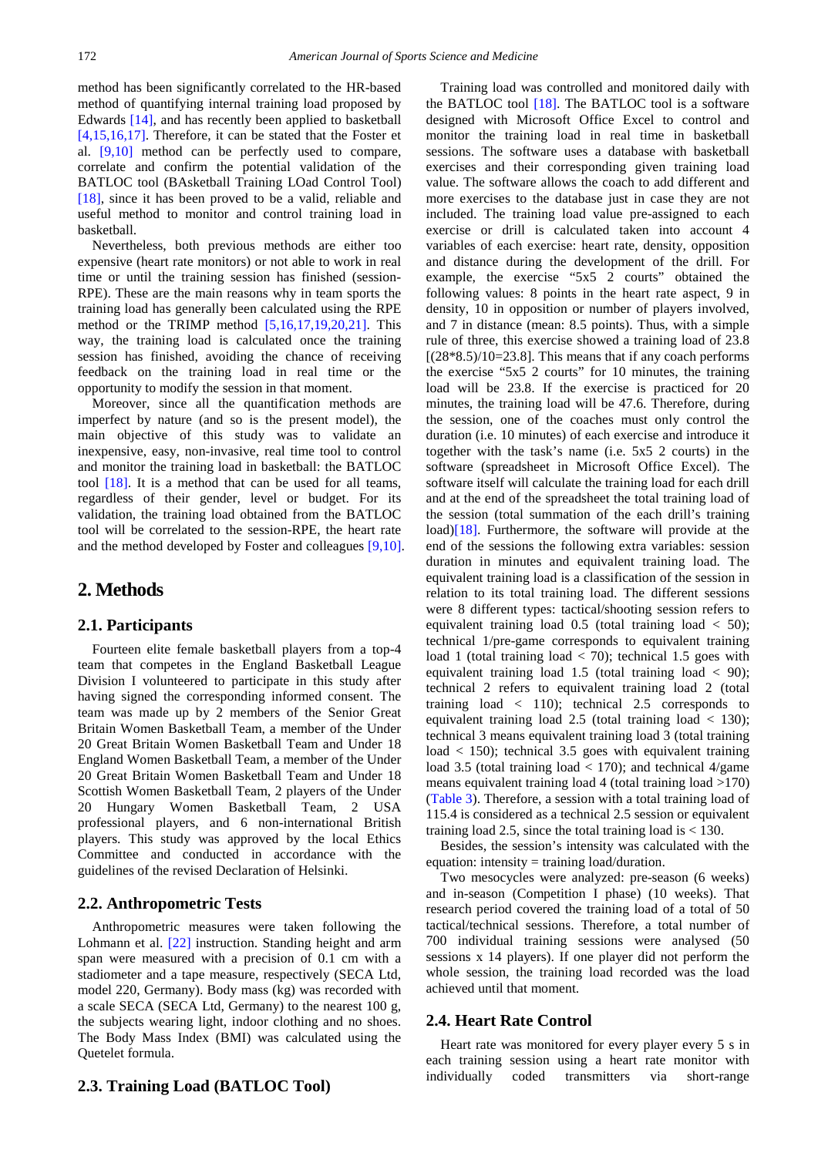method has been significantly correlated to the HR-based method of quantifying internal training load proposed by Edwards [\[14\],](#page-5-0) and has recently been applied to basketball [\[4,15,16,17\].](#page-4-2) Therefore, it can be stated that the Foster et al. [\[9,10\]](#page-4-7) method can be perfectly used to compare, correlate and confirm the potential validation of the BATLOC tool (BAsketball Training LOad Control Tool) [\[18\],](#page-5-1) since it has been proved to be a valid, reliable and useful method to monitor and control training load in basketball.

Nevertheless, both previous methods are either too expensive (heart rate monitors) or not able to work in real time or until the training session has finished (session-RPE). These are the main reasons why in team sports the training load has generally been calculated using the RPE method or the TRIMP method [\[5,16,17,19,20,21\].](#page-4-3) This way, the training load is calculated once the training session has finished, avoiding the chance of receiving feedback on the training load in real time or the opportunity to modify the session in that moment.

Moreover, since all the quantification methods are imperfect by nature (and so is the present model), the main objective of this study was to validate an inexpensive, easy, non-invasive, real time tool to control and monitor the training load in basketball: the BATLOC tool [\[18\].](#page-5-1) It is a method that can be used for all teams, regardless of their gender, level or budget. For its validation, the training load obtained from the BATLOC tool will be correlated to the session-RPE, the heart rate and the method developed by Foster and colleagues [\[9,10\].](#page-4-7)

## **2. Methods**

#### **2.1. Participants**

Fourteen elite female basketball players from a top-4 team that competes in the England Basketball League Division I volunteered to participate in this study after having signed the corresponding informed consent. The team was made up by 2 members of the Senior Great Britain Women Basketball Team, a member of the Under 20 Great Britain Women Basketball Team and Under 18 England Women Basketball Team, a member of the Under 20 Great Britain Women Basketball Team and Under 18 Scottish Women Basketball Team, 2 players of the Under 20 Hungary Women Basketball Team, 2 USA professional players, and 6 non-international British players. This study was approved by the local Ethics Committee and conducted in accordance with the guidelines of the revised Declaration of Helsinki.

#### **2.2. Anthropometric Tests**

Anthropometric measures were taken following the Lohmann et al. [\[22\]](#page-5-2) instruction. Standing height and arm span were measured with a precision of 0.1 cm with a stadiometer and a tape measure, respectively (SECA Ltd, model 220, Germany). Body mass (kg) was recorded with a scale SECA (SECA Ltd, Germany) to the nearest 100 g, the subjects wearing light, indoor clothing and no shoes. The Body Mass Index (BMI) was calculated using the Quetelet formula.

### **2.3. Training Load (BATLOC Tool)**

Training load was controlled and monitored daily with the BATLOC tool  $[18]$ . The BATLOC tool is a software designed with Microsoft Office Excel to control and monitor the training load in real time in basketball sessions. The software uses a database with basketball exercises and their corresponding given training load value. The software allows the coach to add different and more exercises to the database just in case they are not included. The training load value pre-assigned to each exercise or drill is calculated taken into account 4 variables of each exercise: heart rate, density, opposition and distance during the development of the drill. For example, the exercise "5x5 2 courts" obtained the following values: 8 points in the heart rate aspect, 9 in density, 10 in opposition or number of players involved, and 7 in distance (mean: 8.5 points). Thus, with a simple rule of three, this exercise showed a training load of 23.8  $[(28*8.5)/10=23.8]$ . This means that if any coach performs the exercise "5x5 2 courts" for 10 minutes, the training load will be 23.8. If the exercise is practiced for 20 minutes, the training load will be 47.6. Therefore, during the session, one of the coaches must only control the duration (i.e. 10 minutes) of each exercise and introduce it together with the task's name (i.e. 5x5 2 courts) in the software (spreadsheet in Microsoft Office Excel). The software itself will calculate the training load for each drill and at the end of the spreadsheet the total training load of the session (total summation of the each drill's training load) $[18]$ . Furthermore, the software will provide at the end of the sessions the following extra variables: session duration in minutes and equivalent training load. The equivalent training load is a classification of the session in relation to its total training load. The different sessions were 8 different types: tactical/shooting session refers to equivalent training load  $0.5$  (total training load  $\lt$  50); technical 1/pre-game corresponds to equivalent training load 1 (total training load < 70); technical 1.5 goes with equivalent training load  $1.5$  (total training load  $< 90$ ); technical 2 refers to equivalent training load 2 (total training load  $\langle 110 \rangle$ ; technical 2.5 corresponds to equivalent training load  $2.5$  (total training load  $<$  130); technical 3 means equivalent training load 3 (total training load < 150); technical 3.5 goes with equivalent training load 3.5 (total training load < 170); and technical 4/game means equivalent training load 4 (total training load >170) [\(Table 3\)](#page-3-0). Therefore, a session with a total training load of 115.4 is considered as a technical 2.5 session or equivalent training load 2.5, since the total training load is  $<$  130.

Besides, the session's intensity was calculated with the equation: intensity = training load/duration.

Two mesocycles were analyzed: pre-season (6 weeks) and in-season (Competition I phase) (10 weeks). That research period covered the training load of a total of 50 tactical/technical sessions. Therefore, a total number of 700 individual training sessions were analysed (50 sessions x 14 players). If one player did not perform the whole session, the training load recorded was the load achieved until that moment.

## **2.4. Heart Rate Control**

Heart rate was monitored for every player every 5 s in each training session using a heart rate monitor with individually coded transmitters via short-range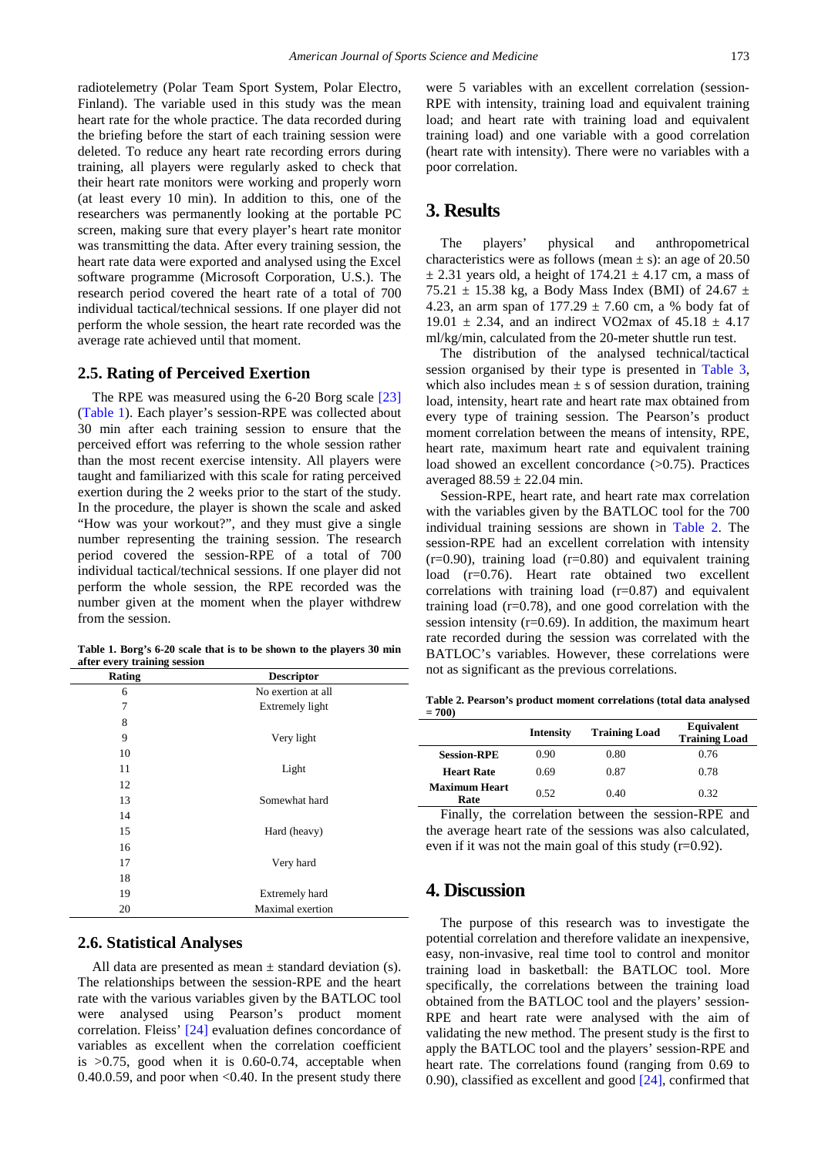radiotelemetry (Polar Team Sport System, Polar Electro, Finland). The variable used in this study was the mean heart rate for the whole practice. The data recorded during the briefing before the start of each training session were deleted. To reduce any heart rate recording errors during training, all players were regularly asked to check that their heart rate monitors were working and properly worn (at least every 10 min). In addition to this, one of the researchers was permanently looking at the portable PC screen, making sure that every player's heart rate monitor was transmitting the data. After every training session, the heart rate data were exported and analysed using the Excel software programme (Microsoft Corporation, U.S.). The research period covered the heart rate of a total of 700 individual tactical/technical sessions. If one player did not perform the whole session, the heart rate recorded was the average rate achieved until that moment.

### **2.5. Rating of Perceived Exertion**

The RPE was measured using the 6-20 Borg scale [\[23\]](#page-5-3) [\(Table 1\)](#page-2-0). Each player's session-RPE was collected about 30 min after each training session to ensure that the perceived effort was referring to the whole session rather than the most recent exercise intensity. All players were taught and familiarized with this scale for rating perceived exertion during the 2 weeks prior to the start of the study. In the procedure, the player is shown the scale and asked "How was your workout?", and they must give a single number representing the training session. The research period covered the session-RPE of a total of 700 individual tactical/technical sessions. If one player did not perform the whole session, the RPE recorded was the number given at the moment when the player withdrew from the session.

**Table 1. Borg's 6-20 scale that is to be shown to the players 30 min after every training session**

<span id="page-2-0"></span>

| No exertion at all    |                   |
|-----------------------|-------------------|
| Extremely light       |                   |
|                       |                   |
| Very light            |                   |
|                       |                   |
| Light                 |                   |
|                       |                   |
| Somewhat hard         |                   |
|                       |                   |
| Hard (heavy)          |                   |
|                       |                   |
| Very hard             |                   |
|                       |                   |
| <b>Extremely hard</b> |                   |
| Maximal exertion      |                   |
|                       | <b>Descriptor</b> |

## **2.6. Statistical Analyses**

All data are presented as mean  $\pm$  standard deviation (s). The relationships between the session-RPE and the heart rate with the various variables given by the BATLOC tool were analysed using Pearson's product moment correlation. Fleiss' [\[24\]](#page-5-4) evaluation defines concordance of variables as excellent when the correlation coefficient is  $>0.75$ , good when it is 0.60-0.74, acceptable when 0.40.0.59, and poor when  $< 0.40$ . In the present study there were 5 variables with an excellent correlation (session-RPE with intensity, training load and equivalent training load; and heart rate with training load and equivalent training load) and one variable with a good correlation (heart rate with intensity). There were no variables with a poor correlation.

## **3. Results**

The players' physical and anthropometrical characteristics were as follows (mean  $\pm$  s): an age of 20.50  $\pm$  2.31 years old, a height of 174.21  $\pm$  4.17 cm, a mass of 75.21  $\pm$  15.38 kg, a Body Mass Index (BMI) of 24.67  $\pm$ 4.23, an arm span of  $177.29 \pm 7.60$  cm, a % body fat of 19.01  $\pm$  2.34, and an indirect VO2max of 45.18  $\pm$  4.17 ml/kg/min, calculated from the 20-meter shuttle run test.

The distribution of the analysed technical/tactical session organised by their type is presented in [Table 3,](#page-3-0) which also includes mean  $\pm$  s of session duration, training load, intensity, heart rate and heart rate max obtained from every type of training session. The Pearson's product moment correlation between the means of intensity, RPE, heart rate, maximum heart rate and equivalent training load showed an excellent concordance (>0.75). Practices averaged  $88.59 \pm 22.04$  min.

Session-RPE, heart rate, and heart rate max correlation with the variables given by the BATLOC tool for the 700 individual training sessions are shown in [Table 2.](#page-2-1) The session-RPE had an excellent correlation with intensity  $(r=0.90)$ , training load  $(r=0.80)$  and equivalent training load (r=0.76). Heart rate obtained two excellent correlations with training load  $(r=0.87)$  and equivalent training load  $(r=0.78)$ , and one good correlation with the session intensity  $(r=0.69)$ . In addition, the maximum heart rate recorded during the session was correlated with the BATLOC's variables. However, these correlations were not as significant as the previous correlations.

**Table 2. Pearson's product moment correlations (total data analysed = 700)**

<span id="page-2-1"></span>

|                              | <b>Intensity</b> | <b>Training Load</b> | <b>Equivalent</b><br><b>Training Load</b> |
|------------------------------|------------------|----------------------|-------------------------------------------|
| <b>Session-RPE</b>           | 0.90             | 0.80                 | 0.76                                      |
| <b>Heart Rate</b>            | 0.69             | 0.87                 | 0.78                                      |
| <b>Maximum Heart</b><br>Rate | 0.52             | 0.40                 | 0.32                                      |

Finally, the correlation between the session-RPE and the average heart rate of the sessions was also calculated, even if it was not the main goal of this study  $(r=0.92)$ .

## **4. Discussion**

The purpose of this research was to investigate the potential correlation and therefore validate an inexpensive, easy, non-invasive, real time tool to control and monitor training load in basketball: the BATLOC tool. More specifically, the correlations between the training load obtained from the BATLOC tool and the players' session-RPE and heart rate were analysed with the aim of validating the new method. The present study is the first to apply the BATLOC tool and the players' session-RPE and heart rate. The correlations found (ranging from 0.69 to 0.90), classified as excellent and good [\[24\],](#page-5-4) confirmed that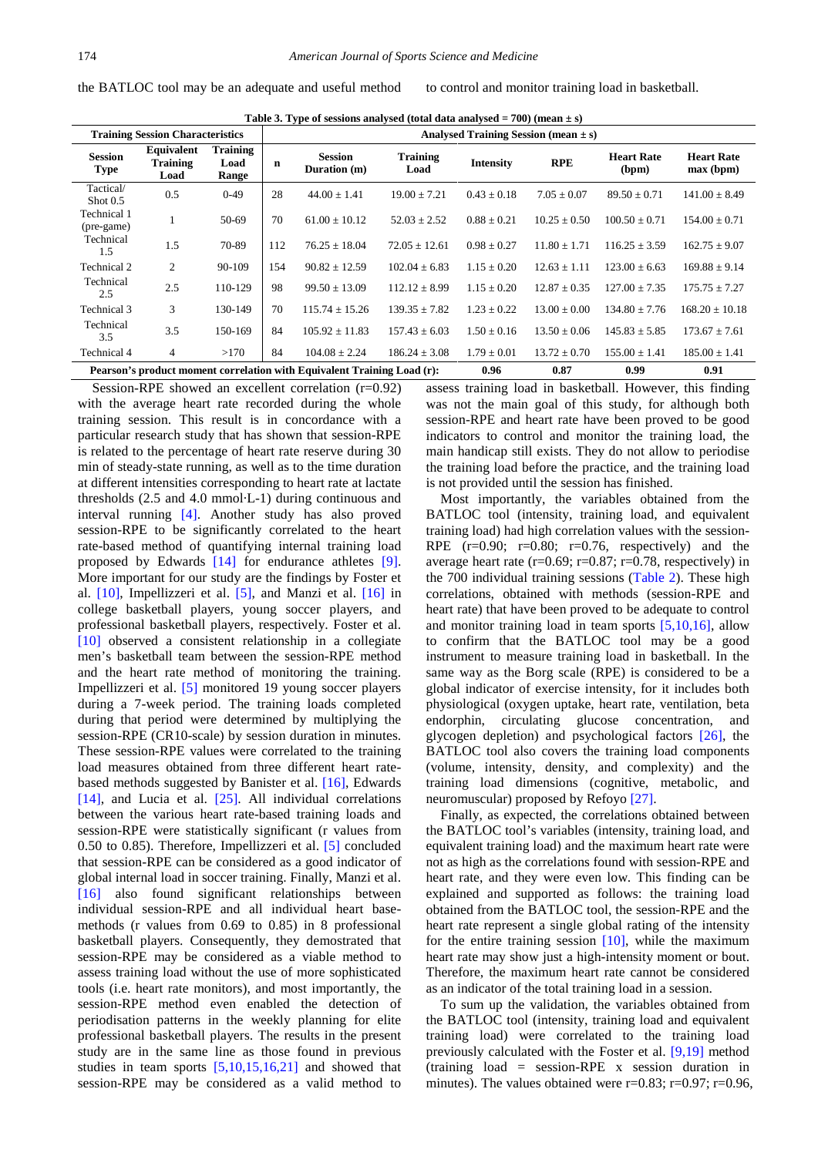**Table 3. Type of sessions analysed (total data analysed**  $= 700$ **) (mean**  $\pm$  **s)** 

the BATLOC tool may be an adequate and useful method to control and monitor training load in basketball.

<span id="page-3-0"></span>

| <b>Training Session Characteristics</b>                                 |                                       |                                  | Analysed Training Session (mean $\pm$ s) |                                |                         |                  |                  |                            |                                |
|-------------------------------------------------------------------------|---------------------------------------|----------------------------------|------------------------------------------|--------------------------------|-------------------------|------------------|------------------|----------------------------|--------------------------------|
| <b>Session</b><br><b>Type</b>                                           | Equivalent<br><b>Training</b><br>Load | <b>Training</b><br>Load<br>Range | n                                        | <b>Session</b><br>Duration (m) | <b>Training</b><br>Load | <b>Intensity</b> | <b>RPE</b>       | <b>Heart Rate</b><br>(bpm) | <b>Heart Rate</b><br>max (bpm) |
| Tactical/<br>$\mathrm{Short}0.5$                                        | 0.5                                   | $0-49$                           | 28                                       | $44.00 \pm 1.41$               | $19.00 \pm 7.21$        | $0.43 \pm 0.18$  | $7.05 \pm 0.07$  | $89.50 \pm 0.71$           | $141.00 \pm 8.49$              |
| Technical 1<br>(pre-game)                                               |                                       | 50-69                            | 70                                       | $61.00 + 10.12$                | $52.03 \pm 2.52$        | $0.88 + 0.21$    | $10.25 \pm 0.50$ | $100.50 + 0.71$            | $154.00 + 0.71$                |
| Technical<br>1.5                                                        | 1.5                                   | 70-89                            | 112                                      | $76.25 + 18.04$                | $72.05 + 12.61$         | $0.98 \pm 0.27$  | $11.80 \pm 1.71$ | $116.25 + 3.59$            | $162.75 \pm 9.07$              |
| Technical 2                                                             | 2                                     | 90-109                           | 154                                      | $90.82 + 12.59$                | $102.04 \pm 6.83$       | $1.15 + 0.20$    | $12.63 + 1.11$   | $123.00 + 6.63$            | $169.88 + 9.14$                |
| Technical<br>2.5                                                        | 2.5                                   | 110-129                          | 98                                       | $99.50 + 13.09$                | $112.12 + 8.99$         | $1.15 + 0.20$    | $12.87 + 0.35$   | $127.00 + 7.35$            | $175.75 \pm 7.27$              |
| Technical 3                                                             | 3                                     | 130-149                          | 70                                       | $115.74 \pm 15.26$             | $139.35 \pm 7.82$       | $1.23 + 0.22$    | $13.00 + 0.00$   | $134.80 + 7.76$            | $168.20 \pm 10.18$             |
| Technical<br>3.5                                                        | 3.5                                   | 150-169                          | 84                                       | $105.92 \pm 11.83$             | $157.43 + 6.03$         | $1.50 + 0.16$    | $13.50 + 0.06$   | $145.83 \pm 5.85$          | $173.67 \pm 7.61$              |
| Technical 4                                                             | 4                                     | >170                             | 84                                       | $104.08 + 2.24$                | $186.24 \pm 3.08$       | $1.79 + 0.01$    | $13.72 \pm 0.70$ | $155.00 \pm 1.41$          | $185.00 \pm 1.41$              |
| Pearson's product moment correlation with Equivalent Training Load (r): |                                       |                                  |                                          | 0.96                           | 0.87                    | 0.99             | 0.91             |                            |                                |

Session-RPE showed an excellent correlation (r=0.92) with the average heart rate recorded during the whole training session. This result is in concordance with a particular research study that has shown that session-RPE is related to the percentage of heart rate reserve during 30 min of steady-state running, as well as to the time duration at different intensities corresponding to heart rate at lactate thresholds (2.5 and 4.0 mmol·L-1) during continuous and interval running [\[4\].](#page-4-2) Another study has also proved session-RPE to be significantly correlated to the heart rate-based method of quantifying internal training load proposed by Edwards [\[14\]](#page-5-0) for endurance athletes [\[9\].](#page-4-7) More important for our study are the findings by Foster et al. [\[10\],](#page-4-9) Impellizzeri et al. [\[5\],](#page-4-3) and Manzi et al. [\[16\]](#page-5-5) in college basketball players, young soccer players, and professional basketball players, respectively. Foster et al. [\[10\]](#page-4-9) observed a consistent relationship in a collegiate men's basketball team between the session-RPE method and the heart rate method of monitoring the training. Impellizzeri et al. [\[5\]](#page-4-3) monitored 19 young soccer players during a 7-week period. The training loads completed during that period were determined by multiplying the session-RPE (CR10-scale) by session duration in minutes. These session-RPE values were correlated to the training load measures obtained from three different heart ratebased methods suggested by Banister et al. [\[16\],](#page-5-5) Edwards [\[14\],](#page-5-0) and Lucia et al. [\[25\].](#page-5-6) All individual correlations between the various heart rate-based training loads and session-RPE were statistically significant (r values from 0.50 to 0.85). Therefore, Impellizzeri et al. [\[5\]](#page-4-3) concluded that session-RPE can be considered as a good indicator of global internal load in soccer training. Finally, Manzi et al. [\[16\]](#page-5-5) also found significant relationships between individual session-RPE and all individual heart basemethods (r values from 0.69 to 0.85) in 8 professional basketball players. Consequently, they demostrated that session-RPE may be considered as a viable method to assess training load without the use of more sophisticated tools (i.e. heart rate monitors), and most importantly, the session-RPE method even enabled the detection of periodisation patterns in the weekly planning for elite professional basketball players. The results in the present study are in the same line as those found in previous studies in team sports [\[5,10,15,16,21\]](#page-4-3) and showed that session-RPE may be considered as a valid method to

assess training load in basketball. However, this finding was not the main goal of this study, for although both session-RPE and heart rate have been proved to be good indicators to control and monitor the training load, the main handicap still exists. They do not allow to periodise the training load before the practice, and the training load is not provided until the session has finished.

Most importantly, the variables obtained from the BATLOC tool (intensity, training load, and equivalent training load) had high correlation values with the session-RPE  $(r=0.90; r=0.80; r=0.76, respectively)$  and the average heart rate ( $r=0.69$ ;  $r=0.87$ ;  $r=0.78$ , respectively) in the 700 individual training sessions [\(Table 2\)](#page-2-1). These high correlations, obtained with methods (session-RPE and heart rate) that have been proved to be adequate to control and monitor training load in team sports [\[5,10,16\],](#page-4-3) allow to confirm that the BATLOC tool may be a good instrument to measure training load in basketball. In the same way as the Borg scale (RPE) is considered to be a global indicator of exercise intensity, for it includes both physiological (oxygen uptake, heart rate, ventilation, beta endorphin, circulating glucose concentration, and glycogen depletion) and psychological factors [\[26\],](#page-5-7) the BATLOC tool also covers the training load components (volume, intensity, density, and complexity) and the training load dimensions (cognitive, metabolic, and neuromuscular) proposed by Refoyo [\[27\].](#page-5-8)

Finally, as expected, the correlations obtained between the BATLOC tool's variables (intensity, training load, and equivalent training load) and the maximum heart rate were not as high as the correlations found with session-RPE and heart rate, and they were even low. This finding can be explained and supported as follows: the training load obtained from the BATLOC tool, the session-RPE and the heart rate represent a single global rating of the intensity for the entire training session  $[10]$ , while the maximum heart rate may show just a high-intensity moment or bout. Therefore, the maximum heart rate cannot be considered as an indicator of the total training load in a session.

To sum up the validation, the variables obtained from the BATLOC tool (intensity, training load and equivalent training load) were correlated to the training load previously calculated with the Foster et al. [\[9,19\]](#page-4-7) method (training load = session-RPE x session duration in minutes). The values obtained were  $r=0.83$ ;  $r=0.97$ ;  $r=0.96$ ,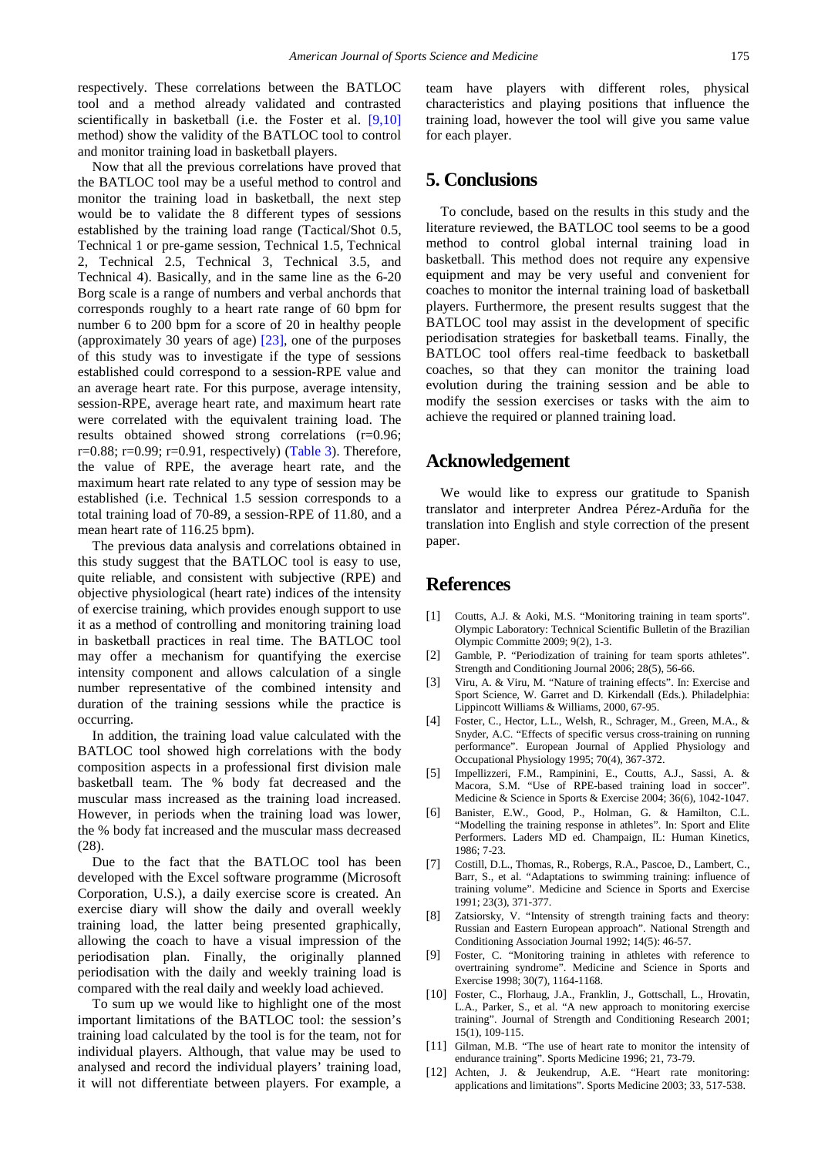respectively. These correlations between the BATLOC tool and a method already validated and contrasted scientifically in basketball (i.e. the Foster et al. [\[9,10\]](#page-4-7) method) show the validity of the BATLOC tool to control and monitor training load in basketball players.

Now that all the previous correlations have proved that the BATLOC tool may be a useful method to control and monitor the training load in basketball, the next step would be to validate the 8 different types of sessions established by the training load range (Tactical/Shot 0.5, Technical 1 or pre-game session, Technical 1.5, Technical 2, Technical 2.5, Technical 3, Technical 3.5, and Technical 4). Basically, and in the same line as the 6-20 Borg scale is a range of numbers and verbal anchords that corresponds roughly to a heart rate range of 60 bpm for number 6 to 200 bpm for a score of 20 in healthy people (approximately 30 years of age) [\[23\],](#page-5-3) one of the purposes of this study was to investigate if the type of sessions established could correspond to a session-RPE value and an average heart rate. For this purpose, average intensity, session-RPE, average heart rate, and maximum heart rate were correlated with the equivalent training load. The results obtained showed strong correlations (r=0.96; r=0.88; r=0.99; r=0.91, respectively) [\(Table 3\)](#page-3-0). Therefore, the value of RPE, the average heart rate, and the maximum heart rate related to any type of session may be established (i.e. Technical 1.5 session corresponds to a total training load of 70-89, a session-RPE of 11.80, and a mean heart rate of 116.25 bpm).

The previous data analysis and correlations obtained in this study suggest that the BATLOC tool is easy to use, quite reliable, and consistent with subjective (RPE) and objective physiological (heart rate) indices of the intensity of exercise training, which provides enough support to use it as a method of controlling and monitoring training load in basketball practices in real time. The BATLOC tool may offer a mechanism for quantifying the exercise intensity component and allows calculation of a single number representative of the combined intensity and duration of the training sessions while the practice is occurring.

In addition, the training load value calculated with the BATLOC tool showed high correlations with the body composition aspects in a professional first division male basketball team. The % body fat decreased and the muscular mass increased as the training load increased. However, in periods when the training load was lower, the % body fat increased and the muscular mass decreased (28).

Due to the fact that the BATLOC tool has been developed with the Excel software programme (Microsoft Corporation, U.S.), a daily exercise score is created. An exercise diary will show the daily and overall weekly training load, the latter being presented graphically, allowing the coach to have a visual impression of the periodisation plan. Finally, the originally planned periodisation with the daily and weekly training load is compared with the real daily and weekly load achieved.

To sum up we would like to highlight one of the most important limitations of the BATLOC tool: the session's training load calculated by the tool is for the team, not for individual players. Although, that value may be used to analysed and record the individual players' training load, it will not differentiate between players. For example, a team have players with different roles, physical characteristics and playing positions that influence the training load, however the tool will give you same value for each player.

# **5. Conclusions**

To conclude, based on the results in this study and the literature reviewed, the BATLOC tool seems to be a good method to control global internal training load in basketball. This method does not require any expensive equipment and may be very useful and convenient for coaches to monitor the internal training load of basketball players. Furthermore, the present results suggest that the BATLOC tool may assist in the development of specific periodisation strategies for basketball teams. Finally, the BATLOC tool offers real-time feedback to basketball coaches, so that they can monitor the training load evolution during the training session and be able to modify the session exercises or tasks with the aim to achieve the required or planned training load.

## **Acknowledgement**

We would like to express our gratitude to Spanish translator and interpreter Andrea Pérez-Arduña for the translation into English and style correction of the present paper.

## **References**

- <span id="page-4-0"></span>[1] Coutts, A.J. & Aoki, M.S. "Monitoring training in team sports". Olympic Laboratory: Technical Scientific Bulletin of the Brazilian Olympic Committe 2009; 9(2), 1-3.
- [2] Gamble, P. "Periodization of training for team sports athletes". Strength and Conditioning Journal 2006; 28(5), 56-66.
- <span id="page-4-1"></span>[3] Viru, A. & Viru, M. "Nature of training effects". In: Exercise and Sport Science, W. Garret and D. Kirkendall (Eds.). Philadelphia: Lippincott Williams & Williams, 2000, 67-95.
- <span id="page-4-2"></span>[4] Foster, C., Hector, L.L., Welsh, R., Schrager, M., Green, M.A., & Snyder, A.C. "Effects of specific versus cross-training on running performance". European Journal of Applied Physiology and Occupational Physiology 1995; 70(4), 367-372.
- <span id="page-4-3"></span>[5] Impellizzeri, F.M., Rampinini, E., Coutts, A.J., Sassi, A. & Macora, S.M. "Use of RPE-based training load in soccer". Medicine & Science in Sports & Exercise 2004; 36(6), 1042-1047.
- <span id="page-4-4"></span>[6] Banister, E.W., Good, P., Holman, G. & Hamilton, C.L. "Modelling the training response in athletes". In: Sport and Elite Performers. Laders MD ed. Champaign, IL: Human Kinetics, 1986; 7-23.
- <span id="page-4-5"></span>[7] Costill, D.L., Thomas, R., Robergs, R.A., Pascoe, D., Lambert, C., Barr, S., et al. "Adaptations to swimming training: influence of training volume". Medicine and Science in Sports and Exercise 1991; 23(3), 371-377.
- <span id="page-4-6"></span>[8] Zatsiorsky, V. "Intensity of strength training facts and theory: Russian and Eastern European approach". National Strength and Conditioning Association Journal 1992; 14(5): 46-57.
- <span id="page-4-7"></span>[9] Foster, C. "Monitoring training in athletes with reference to overtraining syndrome". Medicine and Science in Sports and Exercise 1998; 30(7), 1164-1168.
- <span id="page-4-9"></span>[10] Foster, C., Florhaug, J.A., Franklin, J., Gottschall, L., Hrovatin, L.A., Parker, S., et al. "A new approach to monitoring exercise training". Journal of Strength and Conditioning Research 2001; 15(1), 109-115.
- <span id="page-4-8"></span>[11] Gilman, M.B. "The use of heart rate to monitor the intensity of endurance training". Sports Medicine 1996; 21, 73-79.
- [12] Achten, J. & Jeukendrup, A.E. "Heart rate monitoring: applications and limitations". Sports Medicine 2003; 33, 517-538.